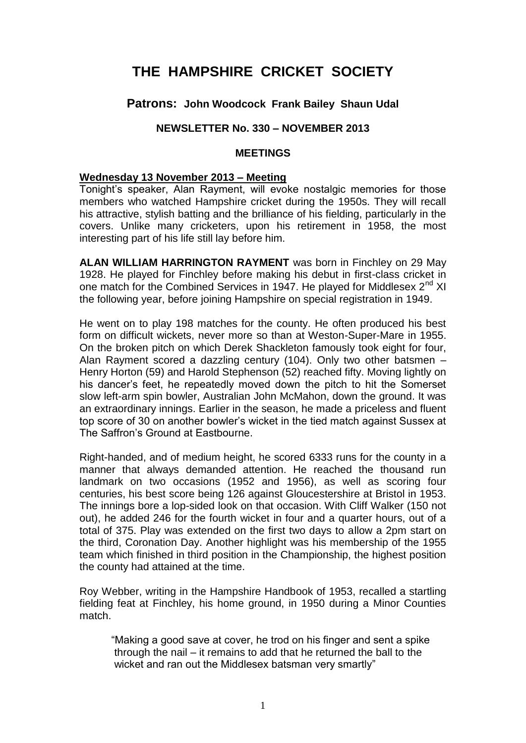# **THE HAMPSHIRE CRICKET SOCIETY**

## **Patrons: John Woodcock Frank Bailey Shaun Udal**

## **NEWSLETTER No. 330 – NOVEMBER 2013**

#### **MEETINGS**

#### **Wednesday 13 November 2013 – Meeting**

Tonight's speaker, Alan Rayment, will evoke nostalgic memories for those members who watched Hampshire cricket during the 1950s. They will recall his attractive, stylish batting and the brilliance of his fielding, particularly in the covers. Unlike many cricketers, upon his retirement in 1958, the most interesting part of his life still lay before him.

**ALAN WILLIAM HARRINGTON RAYMENT** was born in Finchley on 29 May 1928. He played for Finchley before making his debut in first-class cricket in one match for the Combined Services in 1947. He played for Middlesex 2<sup>nd</sup> XI the following year, before joining Hampshire on special registration in 1949.

He went on to play 198 matches for the county. He often produced his best form on difficult wickets, never more so than at Weston-Super-Mare in 1955. On the broken pitch on which Derek Shackleton famously took eight for four, Alan Rayment scored a dazzling century (104). Only two other batsmen – Henry Horton (59) and Harold Stephenson (52) reached fifty. Moving lightly on his dancer's feet, he repeatedly moved down the pitch to hit the Somerset slow left-arm spin bowler, Australian John McMahon, down the ground. It was an extraordinary innings. Earlier in the season, he made a priceless and fluent top score of 30 on another bowler's wicket in the tied match against Sussex at The Saffron's Ground at Eastbourne.

Right-handed, and of medium height, he scored 6333 runs for the county in a manner that always demanded attention. He reached the thousand run landmark on two occasions (1952 and 1956), as well as scoring four centuries, his best score being 126 against Gloucestershire at Bristol in 1953. The innings bore a lop-sided look on that occasion. With Cliff Walker (150 not out), he added 246 for the fourth wicket in four and a quarter hours, out of a total of 375. Play was extended on the first two days to allow a 2pm start on the third, Coronation Day. Another highlight was his membership of the 1955 team which finished in third position in the Championship, the highest position the county had attained at the time.

Roy Webber, writing in the Hampshire Handbook of 1953, recalled a startling fielding feat at Finchley, his home ground, in 1950 during a Minor Counties match.

"Making a good save at cover, he trod on his finger and sent a spike through the nail – it remains to add that he returned the ball to the wicket and ran out the Middlesex batsman very smartly"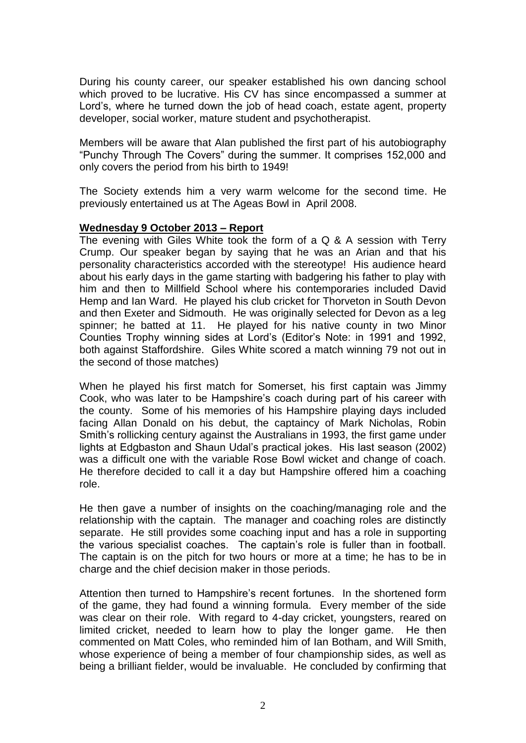During his county career, our speaker established his own dancing school which proved to be lucrative. His CV has since encompassed a summer at Lord's, where he turned down the job of head coach, estate agent, property developer, social worker, mature student and psychotherapist.

Members will be aware that Alan published the first part of his autobiography "Punchy Through The Covers" during the summer. It comprises 152,000 and only covers the period from his birth to 1949!

The Society extends him a very warm welcome for the second time. He previously entertained us at The Ageas Bowl in April 2008.

### **Wednesday 9 October 2013 – Report**

The evening with Giles White took the form of a Q & A session with Terry Crump. Our speaker began by saying that he was an Arian and that his personality characteristics accorded with the stereotype! His audience heard about his early days in the game starting with badgering his father to play with him and then to Millfield School where his contemporaries included David Hemp and Ian Ward. He played his club cricket for Thorveton in South Devon and then Exeter and Sidmouth. He was originally selected for Devon as a leg spinner; he batted at 11. He played for his native county in two Minor Counties Trophy winning sides at Lord's (Editor's Note: in 1991 and 1992, both against Staffordshire. Giles White scored a match winning 79 not out in the second of those matches)

When he played his first match for Somerset, his first captain was Jimmy Cook, who was later to be Hampshire's coach during part of his career with the county. Some of his memories of his Hampshire playing days included facing Allan Donald on his debut, the captaincy of Mark Nicholas, Robin Smith's rollicking century against the Australians in 1993, the first game under lights at Edgbaston and Shaun Udal's practical jokes. His last season (2002) was a difficult one with the variable Rose Bowl wicket and change of coach. He therefore decided to call it a day but Hampshire offered him a coaching role.

He then gave a number of insights on the coaching/managing role and the relationship with the captain. The manager and coaching roles are distinctly separate. He still provides some coaching input and has a role in supporting the various specialist coaches. The captain's role is fuller than in football. The captain is on the pitch for two hours or more at a time; he has to be in charge and the chief decision maker in those periods.

Attention then turned to Hampshire's recent fortunes. In the shortened form of the game, they had found a winning formula. Every member of the side was clear on their role. With regard to 4-day cricket, youngsters, reared on limited cricket, needed to learn how to play the longer game. He then commented on Matt Coles, who reminded him of Ian Botham, and Will Smith, whose experience of being a member of four championship sides, as well as being a brilliant fielder, would be invaluable. He concluded by confirming that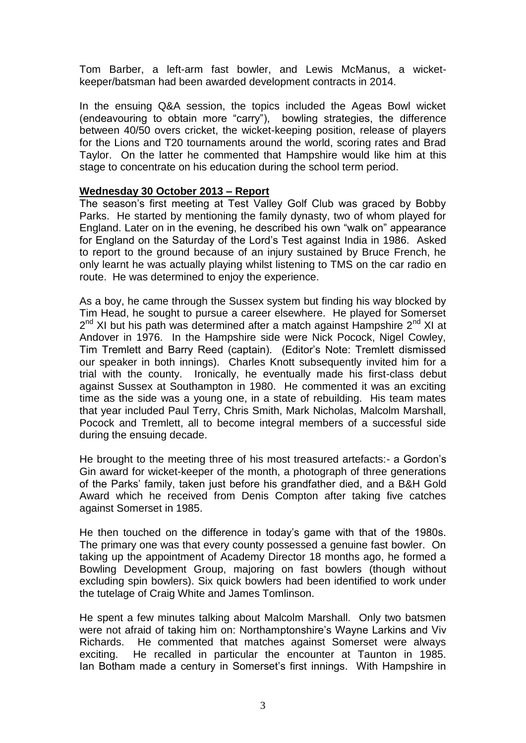Tom Barber, a left-arm fast bowler, and Lewis McManus, a wicketkeeper/batsman had been awarded development contracts in 2014.

In the ensuing Q&A session, the topics included the Ageas Bowl wicket (endeavouring to obtain more "carry"), bowling strategies, the difference between 40/50 overs cricket, the wicket-keeping position, release of players for the Lions and T20 tournaments around the world, scoring rates and Brad Taylor. On the latter he commented that Hampshire would like him at this stage to concentrate on his education during the school term period.

#### **Wednesday 30 October 2013 – Report**

The season's first meeting at Test Valley Golf Club was graced by Bobby Parks. He started by mentioning the family dynasty, two of whom played for England. Later on in the evening, he described his own "walk on" appearance for England on the Saturday of the Lord's Test against India in 1986. Asked to report to the ground because of an injury sustained by Bruce French, he only learnt he was actually playing whilst listening to TMS on the car radio en route. He was determined to enjoy the experience.

As a boy, he came through the Sussex system but finding his way blocked by Tim Head, he sought to pursue a career elsewhere. He played for Somerset 2<sup>nd</sup> XI but his path was determined after a match against Hampshire 2<sup>nd</sup> XI at Andover in 1976. In the Hampshire side were Nick Pocock, Nigel Cowley, Tim Tremlett and Barry Reed (captain). (Editor's Note: Tremlett dismissed our speaker in both innings). Charles Knott subsequently invited him for a trial with the county. Ironically, he eventually made his first-class debut against Sussex at Southampton in 1980. He commented it was an exciting time as the side was a young one, in a state of rebuilding. His team mates that year included Paul Terry, Chris Smith, Mark Nicholas, Malcolm Marshall, Pocock and Tremlett, all to become integral members of a successful side during the ensuing decade.

He brought to the meeting three of his most treasured artefacts:- a Gordon's Gin award for wicket-keeper of the month, a photograph of three generations of the Parks' family, taken just before his grandfather died, and a B&H Gold Award which he received from Denis Compton after taking five catches against Somerset in 1985.

He then touched on the difference in today's game with that of the 1980s. The primary one was that every county possessed a genuine fast bowler. On taking up the appointment of Academy Director 18 months ago, he formed a Bowling Development Group, majoring on fast bowlers (though without excluding spin bowlers). Six quick bowlers had been identified to work under the tutelage of Craig White and James Tomlinson.

He spent a few minutes talking about Malcolm Marshall. Only two batsmen were not afraid of taking him on: Northamptonshire's Wayne Larkins and Viv Richards. He commented that matches against Somerset were always exciting. He recalled in particular the encounter at Taunton in 1985. Ian Botham made a century in Somerset's first innings. With Hampshire in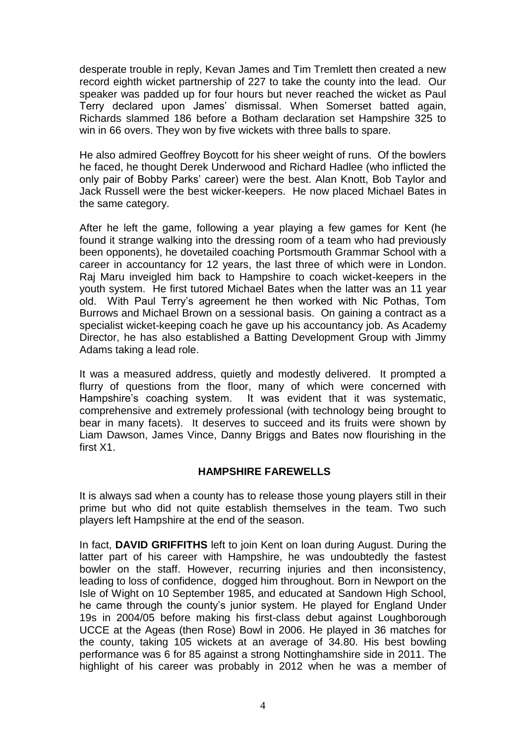desperate trouble in reply, Kevan James and Tim Tremlett then created a new record eighth wicket partnership of 227 to take the county into the lead. Our speaker was padded up for four hours but never reached the wicket as Paul Terry declared upon James' dismissal. When Somerset batted again, Richards slammed 186 before a Botham declaration set Hampshire 325 to win in 66 overs. They won by five wickets with three balls to spare.

He also admired Geoffrey Boycott for his sheer weight of runs. Of the bowlers he faced, he thought Derek Underwood and Richard Hadlee (who inflicted the only pair of Bobby Parks' career) were the best. Alan Knott, Bob Taylor and Jack Russell were the best wicker-keepers. He now placed Michael Bates in the same category.

After he left the game, following a year playing a few games for Kent (he found it strange walking into the dressing room of a team who had previously been opponents), he dovetailed coaching Portsmouth Grammar School with a career in accountancy for 12 years, the last three of which were in London. Raj Maru inveigled him back to Hampshire to coach wicket-keepers in the youth system. He first tutored Michael Bates when the latter was an 11 year old. With Paul Terry's agreement he then worked with Nic Pothas, Tom Burrows and Michael Brown on a sessional basis. On gaining a contract as a specialist wicket-keeping coach he gave up his accountancy job. As Academy Director, he has also established a Batting Development Group with Jimmy Adams taking a lead role.

It was a measured address, quietly and modestly delivered. It prompted a flurry of questions from the floor, many of which were concerned with Hampshire's coaching system. It was evident that it was systematic, comprehensive and extremely professional (with technology being brought to bear in many facets). It deserves to succeed and its fruits were shown by Liam Dawson, James Vince, Danny Briggs and Bates now flourishing in the first X1.

### **HAMPSHIRE FAREWELLS**

It is always sad when a county has to release those young players still in their prime but who did not quite establish themselves in the team. Two such players left Hampshire at the end of the season.

In fact, **DAVID GRIFFITHS** left to join Kent on loan during August. During the latter part of his career with Hampshire, he was undoubtedly the fastest bowler on the staff. However, recurring injuries and then inconsistency, leading to loss of confidence, dogged him throughout. Born in Newport on the Isle of Wight on 10 September 1985, and educated at Sandown High School, he came through the county's junior system. He played for England Under 19s in 2004/05 before making his first-class debut against Loughborough UCCE at the Ageas (then Rose) Bowl in 2006. He played in 36 matches for the county, taking 105 wickets at an average of 34.80. His best bowling performance was 6 for 85 against a strong Nottinghamshire side in 2011. The highlight of his career was probably in 2012 when he was a member of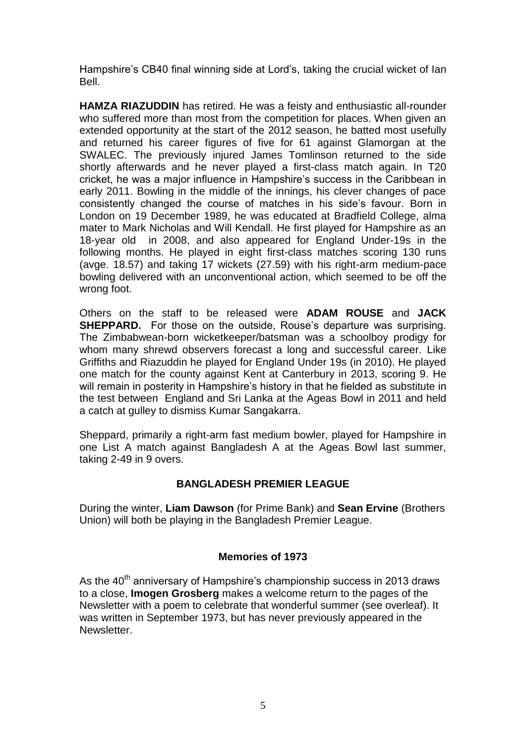Hampshire's CB40 final winning side at Lord's, taking the crucial wicket of Ian Bell.

**HAMZA RIAZUDDIN** has retired. He was a feisty and enthusiastic all-rounder who suffered more than most from the competition for places. When given an extended opportunity at the start of the 2012 season, he batted most usefully and returned his career figures of five for 61 against Glamorgan at the SWALEC. The previously injured James Tomlinson returned to the side shortly afterwards and he never played a first-class match again. In T20 cricket, he was a major influence in Hampshire's success in the Caribbean in early 2011. Bowling in the middle of the innings, his clever changes of pace consistently changed the course of matches in his side's favour. Born in London on 19 December 1989, he was educated at Bradfield College, alma mater to Mark Nicholas and Will Kendall. He first played for Hampshire as an 18-year old in 2008, and also appeared for England Under-19s in the following months. He played in eight first-class matches scoring 130 runs (avge. 18.57) and taking 17 wickets (27.59) with his right-arm medium-pace bowling delivered with an unconventional action, which seemed to be off the wrong foot.

Others on the staff to be released were **ADAM ROUSE** and **JACK SHEPPARD.** For those on the outside. Rouse's departure was surprising. The Zimbabwean-born wicketkeeper/batsman was a schoolboy prodigy for whom many shrewd observers forecast a long and successful career. Like Griffiths and Riazuddin he played for England Under 19s (in 2010). He played one match for the county against Kent at Canterbury in 2013, scoring 9. He will remain in posterity in Hampshire's history in that he fielded as substitute in the test between England and Sri Lanka at the Ageas Bowl in 2011 and held a catch at gulley to dismiss Kumar Sangakarra.

Sheppard, primarily a right-arm fast medium bowler, played for Hampshire in one List A match against Bangladesh A at the Ageas Bowl last summer, taking 2-49 in 9 overs.

### **BANGLADESH PREMIER LEAGUE**

During the winter, **Liam Dawson** (for Prime Bank) and **Sean Ervine** (Brothers Union) will both be playing in the Bangladesh Premier League.

## **Memories of 1973**

As the  $40<sup>th</sup>$  anniversary of Hampshire's championship success in 2013 draws to a close, **Imogen Grosberg** makes a welcome return to the pages of the Newsletter with a poem to celebrate that wonderful summer (see overleaf). It was written in September 1973, but has never previously appeared in the Newsletter.